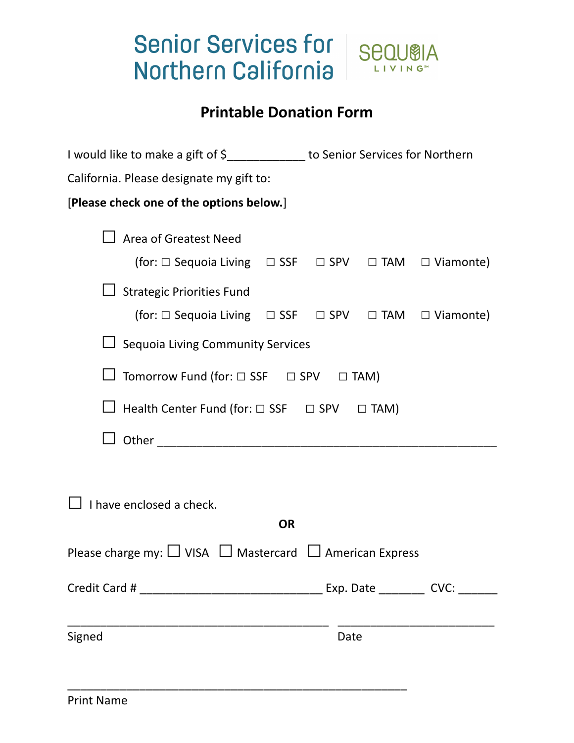## Senior Services for | Sequela Northern California



LIVING<sup>®</sup>

|                                                                                                                                                                                                                                    | I would like to make a gift of \$_____________ to Senior Services for Northern |  |  |  |
|------------------------------------------------------------------------------------------------------------------------------------------------------------------------------------------------------------------------------------|--------------------------------------------------------------------------------|--|--|--|
| California. Please designate my gift to:                                                                                                                                                                                           |                                                                                |  |  |  |
| [Please check one of the options below.]                                                                                                                                                                                           |                                                                                |  |  |  |
| <b>Area of Greatest Need</b><br>(for: $\Box$ Sequoia Living $\Box$ SSF $\Box$ SPV $\Box$ TAM $\Box$ Viamonte)<br><b>Strategic Priorities Fund</b><br>(for: $\Box$ Sequoia Living $\Box$ SSF $\Box$ SPV $\Box$ TAM $\Box$ Viamonte) |                                                                                |  |  |  |
| <b>Sequoia Living Community Services</b>                                                                                                                                                                                           |                                                                                |  |  |  |
| Tomorrow Fund (for: $\Box$ SSF $\Box$ SPV $\Box$ TAM)                                                                                                                                                                              |                                                                                |  |  |  |
| Health Center Fund (for: □ SSF □ SPV □ TAM)                                                                                                                                                                                        |                                                                                |  |  |  |
| Other than the contract of the contract of the contract of the contract of the contract of the contract of the                                                                                                                     |                                                                                |  |  |  |
| I have enclosed a check.<br><b>OR</b>                                                                                                                                                                                              |                                                                                |  |  |  |
| Please charge my: $\Box$ VISA $\Box$ Mastercard $\Box$ American Express                                                                                                                                                            |                                                                                |  |  |  |
|                                                                                                                                                                                                                                    |                                                                                |  |  |  |
| Signed                                                                                                                                                                                                                             | Date                                                                           |  |  |  |

\_\_\_\_\_\_\_\_\_\_\_\_\_\_\_\_\_\_\_\_\_\_\_\_\_\_\_\_\_\_\_\_\_\_\_\_\_\_\_\_\_\_\_\_\_\_\_\_\_\_\_\_